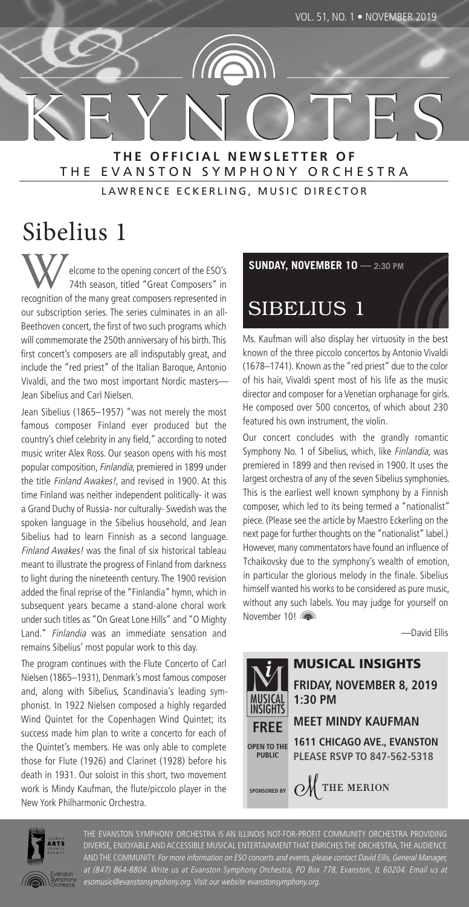**K E Y N O T E S K E Y N O T E S THE OFFICIAL NEWSLETTER OF** THE EVANSTON SYMPHONY ORCHESTRA

LAWRENCE ECKERLING, MUSIC DIRECTOR

# Sibelius 1

elcome to the opening concert of the ESO's 74th season, titled "Great Composers" in recognition of the many great composers represented in our subscription series. The series culminates in an all-Beethoven concert, the first of two such programs which will commemorate the 250th anniversary of his birth. This first concert's composers are all indisputably great, and include the "red priest" of the Italian Baroque, Antonio Vivaldi, and the two most important Nordic masters— Jean Sibelius and Carl Nielsen.

Jean Sibelius (1865–1957) "was not merely the most famous composer Finland ever produced but the country's chief celebrity in any field," according to noted music writer Alex Ross. Our season opens with his most popular composition, Finlandia, premiered in 1899 under the title *Finland Awakes!*, and revised in 1900. At this time Finland was neither independent politically- it was a Grand Duchy of Russia- nor culturally- Swedish was the spoken language in the Sibelius household, and Jean Sibelius had to learn Finnish as a second language. Finland Awakes! was the final of six historical tableau meant to illustrate the progress of Finland from darkness to light during the nineteenth century. The 1900 revision added the final reprise of the "Finlandia" hymn, which in subsequent years became a stand-alone choral work under such titles as "On Great Lone Hills" and "O Mighty Land." Finlandia was an immediate sensation and remains Sibelius' most popular work to this day.

The program continues with the Flute Concerto of Carl Nielsen (1865–1931), Denmark's most famous composer and, along with Sibelius, Scandinavia's leading symphonist. In 1922 Nielsen composed a highly regarded Wind Quintet for the Copenhagen Wind Quintet; its success made him plan to write a concerto for each of the Quintet's members. He was only able to complete those for Flute (1926) and Clarinet (1928) before his death in 1931. Our soloist in this short, two movement work is Mindy Kaufman, the flute/piccolo player in the New York Philharmonic Orchestra.

**SUNDAY, NOVEMBER 10 — 2:30 PM**

# SIBELIUS 1

Ms. Kaufman will also display her virtuosity in the best known of the three piccolo concertos by Antonio Vivaldi (1678–1741). Known as the "red priest" due to the color of his hair, Vivaldi spent most of his life as the music director and composer for a Venetian orphanage for girls. He composed over 500 concertos, of which about 230 featured his own instrument, the violin.

Our concert concludes with the grandly romantic Symphony No. 1 of Sibelius, which, like Finlandia, was premiered in 1899 and then revised in 1900. It uses the largest orchestra of any of the seven Sibelius symphonies. This is the earliest well known symphony by a Finnish composer, which led to its being termed a "nationalist" piece. (Please see the article by Maestro Eckerling on the next page for further thoughts on the "nationalist" label.) However, many commentators have found an influence of Tchaikovsky due to the symphony's wealth of emotion, in particular the glorious melody in the finale. Sibelius himself wanted his works to be considered as pure music, without any such labels. You may judge for yourself on November 10!

—David Ellis





THE EVANSTON SYMPHONY ORCHESTRA IS AN ILLINOIS NOT-FOR-PROFIT COMMUNITY ORCHESTRA PROVIDING DIVERSE, ENJOYABLE AND ACCESSIBLE MUSICAL ENTERTAINMENT THAT ENRICHES THE ORCHESTRA, THE AUDIENCE AND THE COMMUNITY. For more information on ESO concerts and events, please contact David Ellis, General Manager, at (847) 864-8804. Write us at Evanston Symphony Orchestra, PO Box 778, Evanston, IL 60204. Email us at esomusic@evanstonsymphony.org. Visit our website evanstonsymphony.org.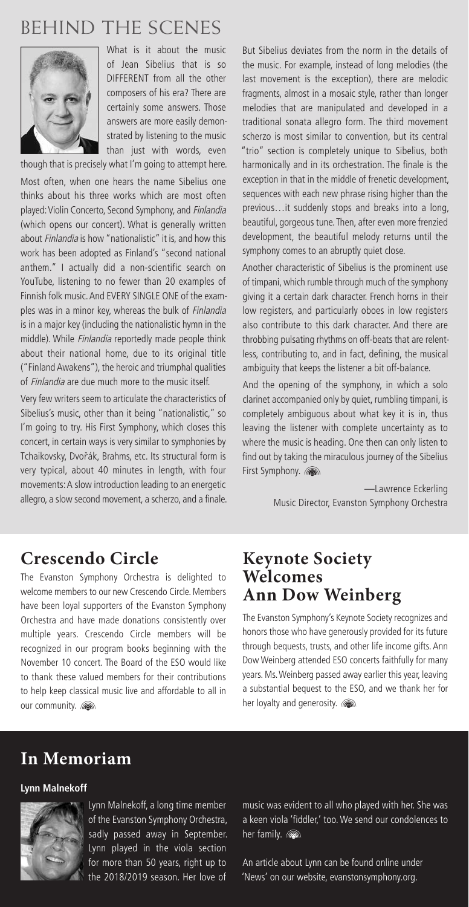## **BEHIND THE SCENES**



What is it about the music of Jean Sibelius that is so DIFFERENT from all the other composers of his era? There are certainly some answers. Those answers are more easily demonstrated by listening to the music than just with words, even

though that is precisely what I'm going to attempt here. Most often, when one hears the name Sibelius one thinks about his three works which are most often played: Violin Concerto, Second Symphony, and Finlandia (which opens our concert). What is generally written about Finlandia is how "nationalistic" it is, and how this work has been adopted as Finland's "second national anthem." I actually did a non-scientific search on YouTube, listening to no fewer than 20 examples of Finnish folk music. And EVERY SINGLE ONE of the examples was in a minor key, whereas the bulk of *Finlandia* is in a major key (including the nationalistic hymn in the middle). While Finlandia reportedly made people think about their national home, due to its original title ("Finland Awakens"), the heroic and triumphal qualities of Finlandia are due much more to the music itself.

Very few writers seem to articulate the characteristics of Sibelius's music, other than it being "nationalistic," so I'm going to try. His First Symphony, which closes this concert, in certain ways is very similar to symphonies by Tchaikovsky, Dvořák, Brahms, etc. Its structural form is very typical, about 40 minutes in length, with four movements: A slow introduction leading to an energetic allegro, a slow second movement, a scherzo, and a finale. But Sibelius deviates from the norm in the details of the music. For example, instead of long melodies (the last movement is the exception), there are melodic fragments, almost in a mosaic style, rather than longer melodies that are manipulated and developed in a traditional sonata allegro form. The third movement scherzo is most similar to convention, but its central "trio" section is completely unique to Sibelius, both harmonically and in its orchestration. The finale is the exception in that in the middle of frenetic development, sequences with each new phrase rising higher than the previous…it suddenly stops and breaks into a long, beautiful, gorgeous tune. Then, after even more frenzied development, the beautiful melody returns until the symphony comes to an abruptly quiet close.

Another characteristic of Sibelius is the prominent use of timpani, which rumble through much of the symphony giving it a certain dark character. French horns in their low registers, and particularly oboes in low registers also contribute to this dark character. And there are throbbing pulsating rhythms on off-beats that are relentless, contributing to, and in fact, defining, the musical ambiguity that keeps the listener a bit off-balance.

And the opening of the symphony, in which a solo clarinet accompanied only by quiet, rumbling timpani, is completely ambiguous about what key it is in, thus leaving the listener with complete uncertainty as to where the music is heading. One then can only listen to find out by taking the miraculous journey of the Sibelius First Symphony. (a)

> —Lawrence Eckerling Music Director, Evanston Symphony Orchestra

### **Crescendo Circle**

The Evanston Symphony Orchestra is delighted to welcome members to our new Crescendo Circle. Members have been loyal supporters of the Evanston Symphony Orchestra and have made donations consistently over multiple years. Crescendo Circle members will be recognized in our program books beginning with the November 10 concert. The Board of the ESO would like to thank these valued members for their contributions to help keep classical music live and affordable to all in our community.

### **Keynote Society Welcomes Ann Dow Weinberg**

The Evanston Symphony's Keynote Society recognizes and honors those who have generously provided for its future through bequests, trusts, and other life income gifts. Ann Dow Weinberg attended ESO concerts faithfully for many years. Ms. Weinberg passed away earlier this year, leaving a substantial bequest to the ESO, and we thank her for her loyalty and generosity.

### **In Memoriam**

#### **Lynn Malnekoff**



Lynn Malnekoff, a long time member of the Evanston Symphony Orchestra, sadly passed away in September. Lynn played in the viola section for more than 50 years, right up to the 2018/2019 season. Her love of

music was evident to all who played with her. She was a keen viola 'fiddler,' too. We send our condolences to her family. **now** 

An article about Lynn can be found online under 'News' on our website, evanstonsymphony.org.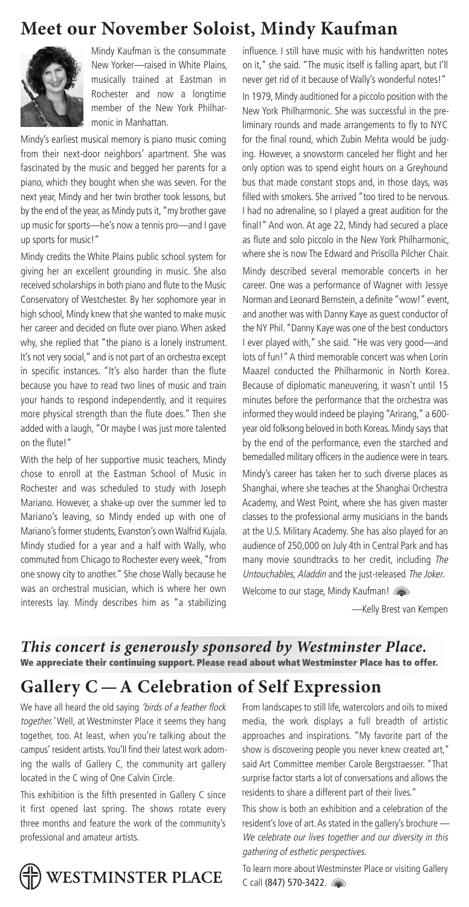### **Meet our November Soloist, Mindy Kaufman**



Mindy Kaufman is the consummate New Yorker—raised in White Plains, musically trained at Eastman in Rochester and now a longtime member of the New York Philharmonic in Manhattan.

Mindy's earliest musical memory is piano music coming from their next-door neighbors' apartment. She was fascinated by the music and begged her parents for a piano, which they bought when she was seven. For the next year, Mindy and her twin brother took lessons, but by the end of the year, as Mindy puts it, "my brother gave up music for sports—he's now a tennis pro—and I gave up sports for music!"

Mindy credits the White Plains public school system for giving her an excellent grounding in music. She also received scholarships in both piano and flute to the Music Conservatory of Westchester. By her sophomore year in high school, Mindy knew that she wanted to make music her career and decided on flute over piano. When asked why, she replied that "the piano is a lonely instrument. It's not very social," and is not part of an orchestra except in specific instances. "It's also harder than the flute because you have to read two lines of music and train your hands to respond independently, and it requires more physical strength than the flute does." Then she added with a laugh, "Or maybe I was just more talented on the flute!"

With the help of her supportive music teachers, Mindy chose to enroll at the Eastman School of Music in Rochester and was scheduled to study with Joseph Mariano. However, a shake-up over the summer led to Mariano's leaving, so Mindy ended up with one of Mariano's former students, Evanston's own Walfrid Kujala. Mindy studied for a year and a half with Wally, who commuted from Chicago to Rochester every week, "from one snowy city to another." She chose Wally because he was an orchestral musician, which is where her own interests lay. Mindy describes him as "a stabilizing  influence. I still have music with his handwritten notes on it," she said. "The music itself is falling apart, but I'll never get rid of it because of Wally's wonderful notes!" In 1979, Mindy auditioned for a piccolo position with the New York Philharmonic. She was successful in the preliminary rounds and made arrangements to fly to NYC for the final round, which Zubin Mehta would be judging. However, a snowstorm canceled her flight and her only option was to spend eight hours on a Greyhound bus that made constant stops and, in those days, was filled with smokers. She arrived "too tired to be nervous. I had no adrenaline, so I played a great audition for the final!" And won. At age 22, Mindy had secured a place as flute and solo piccolo in the New York Philharmonic, where she is now The Edward and Priscilla Pilcher Chair. Mindy described several memorable concerts in her career. One was a performance of Wagner with Jessye

Norman and Leonard Bernstein, a definite "wow!" event, and another was with Danny Kaye as guest conductor of the NY Phil. "Danny Kaye was one of the best conductors I ever played with," she said. "He was very good—and lots of fun!" A third memorable concert was when Lorin Maazel conducted the Philharmonic in North Korea. Because of diplomatic maneuvering, it wasn't until 15 minutes before the performance that the orchestra was informed they would indeed be playing "Arirang," a 600 year old folksong beloved in both Koreas. Mindy says that by the end of the performance, even the starched and bemedalled military officers in the audience were in tears.

Mindy's career has taken her to such diverse places as Shanghai, where she teaches at the Shanghai Orchestra Academy, and West Point, where she has given master classes to the professional army musicians in the bands at the U.S. Military Academy. She has also played for an audience of 250,000 on July 4th in Central Park and has many movie soundtracks to her credit, including The Untouchables, Aladdin and the just-released The Joker.

Welcome to our stage, Mindy Kaufman!

—Kelly Brest van Kempen

*This concert is generously sponsored by Westminster Place.* **We appreciate their continuing support. Please read about what Westminster Place has to offer.**

### **Gallery C —A Celebration of Self Expression**

We have all heard the old saying 'birds of a feather flock together.' Well, at Westminster Place it seems they hang together, too. At least, when you're talking about the campus' resident artists. You'll find their latest work adorning the walls of Gallery C, the community art gallery located in the C wing of One Calvin Circle.

This exhibition is the fifth presented in Gallery C since it first opened last spring. The shows rotate every three months and feature the work of the community's professional and amateur artists.

From landscapes to still life, watercolors and oils to mixed media, the work displays a full breadth of artistic approaches and inspirations. "My favorite part of the show is discovering people you never knew created art," said Art Committee member Carole Bergstraesser. "That surprise factor starts a lot of conversations and allows the residents to share a different part of their lives."

This show is both an exhibition and a celebration of the resident's love of art. As stated in the gallery's brochure — We celebrate our lives together and our diversity in this gathering of esthetic perspectives.



To learn more about Westminster Place or visiting Gallery C call (847) 570-3422.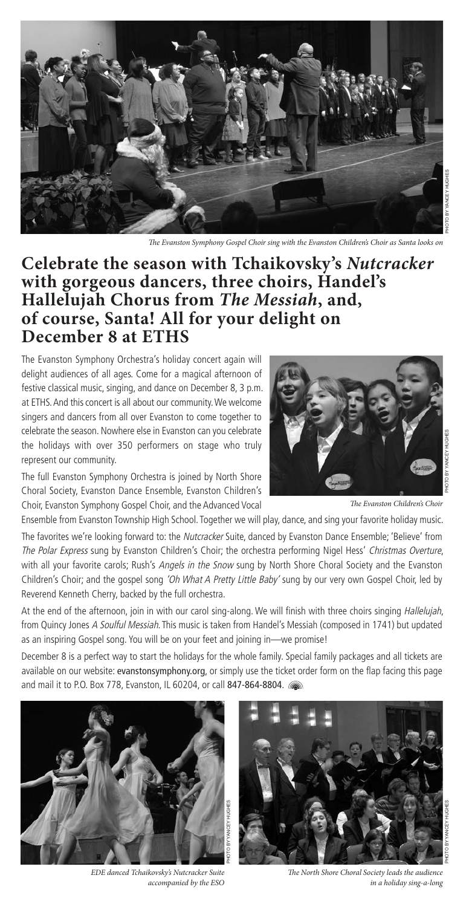

e Evanston Symphony Gospel Choir sing with the Evanston Children's Choir as Santa looks on

### **Celebrate the season with Tchaikovsky's** *Nutcracker* **with gorgeous dancers, three choirs, Handel's Hallelujah Chorus from** *The Messiah***, and, of course, Santa! All for your delight on December 8 at ETHS**

The Evanston Symphony Orchestra's holiday concert again will delight audiences of all ages. Come for a magical afternoon of festive classical music, singing, and dance on December 8, 3 p.m. at ETHS. And this concert is all about our community. We welcome singers and dancers from all over Evanston to come together to celebrate the season. Nowhere else in Evanston can you celebrate the holidays with over 350 performers on stage who truly represent our community.

The full Evanston Symphony Orchestra is joined by North Shore Choral Society, Evanston Dance Ensemble, Evanston Children's Choir, Evanston Symphony Gospel Choir, and the Advanced Vocal



The Evanston Children's Choir

Ensemble from Evanston Township High School. Together we will play, dance, and sing your favorite holiday music.

The favorites we're looking forward to: the Nutcracker Suite, danced by Evanston Dance Ensemble; 'Believe' from The Polar Express sung by Evanston Children's Choir; the orchestra performing Nigel Hess' Christmas Overture, with all your favorite carols; Rush's Angels in the Snow sung by North Shore Choral Society and the Evanston Children's Choir; and the gospel song 'Oh What A Pretty Little Baby' sung by our very own Gospel Choir, led by Reverend Kenneth Cherry, backed by the full orchestra.

At the end of the afternoon, join in with our carol sing-along. We will finish with three choirs singing Hallelujah, from Quincy Jones A Soulful Messiah. This music is taken from Handel's Messiah (composed in 1741) but updated as an inspiring Gospel song. You will be on your feet and joining in—we promise!

December 8 is a perfect way to start the holidays for the whole family. Special family packages and all tickets are available on our website: evanstonsymphony.org, or simply use the ticket order form on the flap facing this page and mail it to P.O. Box 778, Evanston, IL 60204, or call 847-864-8804.



EDE danced Tchaikovsky's Nutcracker Suite accompanied by the ESO



The North Shore Choral Society leads the audience in a holiday sing-a-long